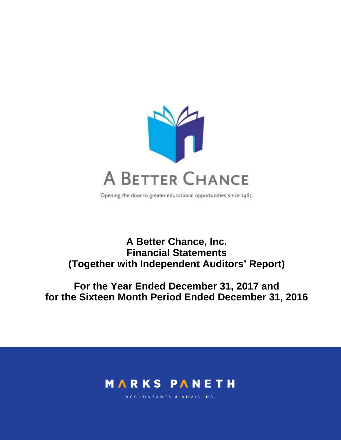

Opening the door to greater educational opportunities since 1963.

# **A Better Chance, Inc. Financial Statements (Together with Independent Auditors' Report)**

# **For the Year Ended December 31, 2017 and for the Sixteen Month Period Ended December 31, 2016**

# MARKS PANETH

ACCOUNTANTS & ADVISORS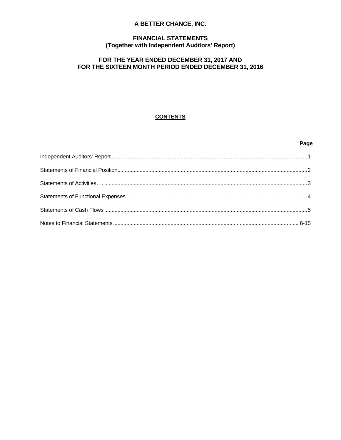# A BETTER CHANCE, INC.

# **FINANCIAL STATEMENTS** (Together with Independent Auditors' Report)

# FOR THE YEAR ENDED DECEMBER 31, 2017 AND FOR THE SIXTEEN MONTH PERIOD ENDED DECEMBER 31, 2016

# **CONTENTS**

# Page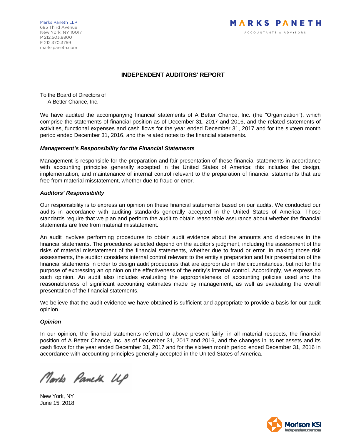Marks Paneth LLP 685 Third Avenue New York, NY 10017 P 212.503.8800 F 212.370.3759 markspaneth.com

# **INDEPENDENT AUDITORS' REPORT**

To the Board of Directors of A Better Chance, Inc.

We have audited the accompanying financial statements of A Better Chance, Inc. (the "Organization"), which comprise the statements of financial position as of December 31, 2017 and 2016, and the related statements of activities, functional expenses and cash flows for the year ended December 31, 2017 and for the sixteen month period ended December 31, 2016, and the related notes to the financial statements.

### *Management's Responsibility for the Financial Statements*

Management is responsible for the preparation and fair presentation of these financial statements in accordance with accounting principles generally accepted in the United States of America; this includes the design, implementation, and maintenance of internal control relevant to the preparation of financial statements that are free from material misstatement, whether due to fraud or error.

#### *Auditors' Responsibility*

Our responsibility is to express an opinion on these financial statements based on our audits. We conducted our audits in accordance with auditing standards generally accepted in the United States of America. Those standards require that we plan and perform the audit to obtain reasonable assurance about whether the financial statements are free from material misstatement.

An audit involves performing procedures to obtain audit evidence about the amounts and disclosures in the financial statements. The procedures selected depend on the auditor's judgment, including the assessment of the risks of material misstatement of the financial statements, whether due to fraud or error. In making those risk assessments, the auditor considers internal control relevant to the entity's preparation and fair presentation of the financial statements in order to design audit procedures that are appropriate in the circumstances, but not for the purpose of expressing an opinion on the effectiveness of the entity's internal control. Accordingly, we express no such opinion. An audit also includes evaluating the appropriateness of accounting policies used and the reasonableness of significant accounting estimates made by management, as well as evaluating the overall presentation of the financial statements.

We believe that the audit evidence we have obtained is sufficient and appropriate to provide a basis for our audit opinion.

#### *Opinion*

In our opinion, the financial statements referred to above present fairly, in all material respects, the financial position of A Better Chance, Inc. as of December 31, 2017 and 2016, and the changes in its net assets and its cash flows for the year ended December 31, 2017 and for the sixteen month period ended December 31, 2016 in accordance with accounting principles generally accepted in the United States of America.

Marks Paneth UP

New York, NY June 15, 2018

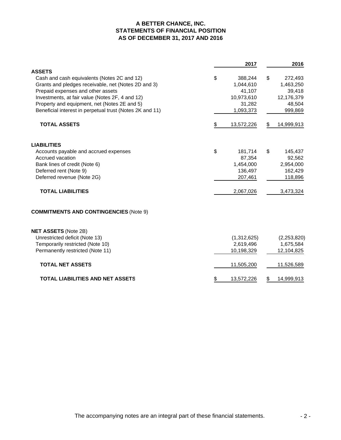# **A BETTER CHANCE, INC. STATEMENTS OF FINANCIAL POSITION AS OF DECEMBER 31, 2017 AND 2016**

|                                                          | 2017             | 2016             |
|----------------------------------------------------------|------------------|------------------|
| <b>ASSETS</b>                                            |                  |                  |
| Cash and cash equivalents (Notes 2C and 12)              | \$<br>388,244    | \$<br>272,493    |
| Grants and pledges receivable, net (Notes 2D and 3)      | 1,044,610        | 1,463,250        |
| Prepaid expenses and other assets                        | 41,107           | 39,418           |
| Investments, at fair value (Notes 2F, 4 and 12)          | 10,973,610       | 12,176,379       |
| Property and equipment, net (Notes 2E and 5)             | 31,282           | 48,504           |
| Beneficial interest in perpetual trust (Notes 2K and 11) | 1,093,373        | 999,869          |
| <b>TOTAL ASSETS</b>                                      | \$<br>13,572,226 | \$<br>14,999,913 |
| <b>LIABILITIES</b>                                       |                  |                  |
| Accounts payable and accrued expenses                    | \$<br>181,714    | \$<br>145,437    |
| Accrued vacation                                         | 87,354           | 92,562           |
| Bank lines of credit (Note 6)                            | 1,454,000        | 2,954,000        |
| Deferred rent (Note 9)                                   | 136,497          | 162,429          |
| Deferred revenue (Note 2G)                               | 207,461          | 118,896          |
| <b>TOTAL LIABILITIES</b>                                 | 2,067,026        | 3,473,324        |
| <b>COMMITMENTS AND CONTINGENCIES (Note 9)</b>            |                  |                  |
| <b>NET ASSETS (Note 2B)</b>                              |                  |                  |
| Unrestricted deficit (Note 13)                           | (1,312,625)      | (2, 253, 820)    |
| Temporarily restricted (Note 10)                         | 2,619,496        | 1,675,584        |
| Permanently restricted (Note 11)                         | 10,198,329       | 12,104,825       |
| <b>TOTAL NET ASSETS</b>                                  | 11,505,200       | 11,526,589       |
| <b>TOTAL LIABILITIES AND NET ASSETS</b>                  | \$<br>13,572,226 | \$<br>14,999,913 |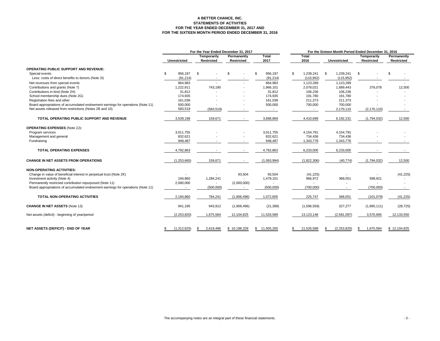#### **A BETTER CHANCE, INC. STATEMENTS OF ACTIVITIES FOR THE YEAR ENDED DECEMBER 31, 2017 AND FOR THE SIXTEEN MONTH PERIOD ENDED DECEMBER 31, 2016**

|                                                                                 |                     |               | For the Year Ended December 31, 2017 |                                  |                          |                      | For the Sixteen Month Period Ended December 31, 2016 |                     |     |                                  |    |                           |
|---------------------------------------------------------------------------------|---------------------|---------------|--------------------------------------|----------------------------------|--------------------------|----------------------|------------------------------------------------------|---------------------|-----|----------------------------------|----|---------------------------|
|                                                                                 | <b>Unrestricted</b> |               | Temporarily<br>Restricted            | Permanently<br><b>Restricted</b> | <b>Total</b><br>2017     | <b>Total</b><br>2016 |                                                      | <b>Unrestricted</b> |     | Temporarily<br><b>Restricted</b> |    | Permanently<br>Restricted |
| OPERATING PUBLIC SUPPORT AND REVENUE:                                           |                     |               |                                      |                                  |                          |                      |                                                      |                     |     |                                  |    |                           |
| Special events                                                                  |                     | 956,197       | \$                                   | \$                               | \$<br>956,197            | \$<br>1,239,241      | - \$                                                 | 1,239,241           | -\$ |                                  | \$ |                           |
| Less: costs of direct benefits to donors (Note 2I)                              |                     | (91, 214)     |                                      |                                  | (91, 214)                | (115, 952)           |                                                      | (115, 952)          |     |                                  |    |                           |
| Net revenues from special events                                                |                     | 864,983       |                                      |                                  | 864,983                  | 1,123,289            |                                                      | 1,123,289           |     |                                  |    |                           |
| Contributions and grants (Note 7)                                               |                     | 1,222,911     | 743,190                              |                                  | 1,966,101                | 2,078,021            |                                                      | 1,689,443           |     | 376,078                          |    | 12,500                    |
| Contributions in kind (Note 2H)                                                 |                     | 31,812        |                                      |                                  | 31,812                   | 106,236              |                                                      | 106,236             |     |                                  |    |                           |
| School membership dues (Note 2G)                                                |                     | 174,935       |                                      |                                  | 174,935                  | 191,780              |                                                      | 191,780             |     |                                  |    |                           |
| Registration fees and other                                                     |                     | 161,038       |                                      |                                  | 161,038                  | 211,373              |                                                      | 211,373             |     |                                  |    |                           |
| Board appropriations of accumulated endowment earnings for operations (Note 11) |                     | 500,000       |                                      |                                  | 500,000                  | 700,000              |                                                      | 700,000             |     |                                  |    |                           |
| Net assets released from restrictions (Notes 2B and 10)                         |                     | 583,519       | (583, 519)                           |                                  | $\overline{\phantom{a}}$ |                      |                                                      | 2,170,110           |     | (2, 170, 110)                    |    | $\overline{\phantom{a}}$  |
| TOTAL OPERATING PUBLIC SUPPORT AND REVENUE                                      |                     | 3,539,198     | 159,671                              |                                  | 3,698,869                | 4,410,699            |                                                      | 6,192,231           |     | (1,794,032)                      |    | 12,500                    |
| <b>OPERATING EXPENSES (Note 2J):</b>                                            |                     |               |                                      |                                  |                          |                      |                                                      |                     |     |                                  |    |                           |
| Program services                                                                |                     | 3,011,755     |                                      |                                  | 3,011,755                | 4,154,791            |                                                      | 4,154,791           |     |                                  |    |                           |
| Management and general                                                          |                     | 832,621       |                                      |                                  | 832,621                  | 734,436              |                                                      | 734,436             |     |                                  |    |                           |
| Fundraising                                                                     |                     | 948,487       |                                      |                                  | 948,487                  | 1,343,778            |                                                      | 1,343,778           |     |                                  |    |                           |
| <b>TOTAL OPERATING EXPENSES</b>                                                 |                     | 4,792,863     |                                      |                                  | 4,792,863                | 6,233,005            |                                                      | 6,233,005           |     |                                  |    |                           |
| <b>CHANGE IN NET ASSETS FROM OPERATIONS</b>                                     |                     | (1, 253, 665) | 159,671                              |                                  | (1,093,994)              | (1,822,306)          |                                                      | (40, 774)           |     | (1,794,032)                      |    | 12,500                    |
| <b>NON-OPERATING ACTIVITIES:</b>                                                |                     |               |                                      |                                  |                          |                      |                                                      |                     |     |                                  |    |                           |
| Change in value of beneficial interest in perpetual trust (Note 2K)             |                     |               |                                      | 93,504                           | 93,504                   | (41, 225)            |                                                      |                     |     |                                  |    | (41, 225)                 |
| Investment activity (Note 4)                                                    |                     | 194,860       | 1,284,241                            |                                  | 1,479,101                | 966,972              |                                                      | 368,051             |     | 598,921                          |    |                           |
| Permanently restricted contribution repurposed (Note 11)                        |                     | 2,000,000     |                                      | (2,000,000)                      |                          |                      |                                                      |                     |     |                                  |    |                           |
| Board appropriations of accumulated endowment earnings for operations (Note 11) |                     |               | (500,000)                            |                                  | (500,000)                | (700,000)            |                                                      |                     |     | (700,000)                        |    | $\sim$                    |
| <b>TOTAL NON-OPERATING ACTIVITIES</b>                                           |                     | 2,194,860     | 784,241                              | (1,906,496)                      | 1,072,605                | 225,747              |                                                      | 368,051             |     | (101, 079)                       |    | (41, 225)                 |
| <b>CHANGE IN NET ASSETS (Note 13)</b>                                           |                     | 941,195       | 943,912                              | (1,906,496)                      | (21, 389)                | (1,596,559)          |                                                      | 327,277             |     | (1,895,111)                      |    | (28, 725)                 |
| Net assets (deficit) - beginning of year/period                                 |                     | (2, 253, 820) | 1,675,584                            | 12,104,825                       | 11,526,589               | 13,123,148           |                                                      | (2,581,097)         |     | 3,570,695                        |    | 12,133,550                |
| NET ASSETS (DEFICIT) - END OF YEAR                                              |                     | (1,312,625)   | 2,619,496<br>\$                      | \$10,198,329                     | \$11,505,200             | \$<br>11,526,589     |                                                      | (2,253,820)         | S.  | 1,675,584                        |    | \$12,104,825              |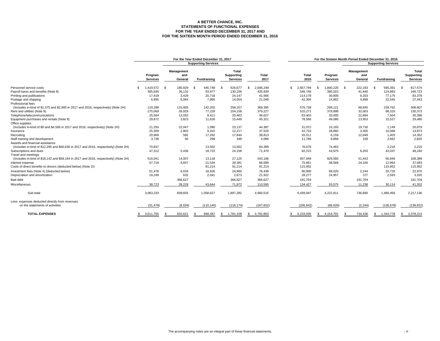#### **A BETTER CHANCE, INC. STATEMENTS OF FUNCTIONAL EXPENSES FOR THE YEAR ENDED DECEMBER 31, 2017 AND FOR THE SIXTEEN MONTH PERIOD ENDED DECEMBER 31, 2016**

|                                                                                      |                            |      |                              | For the Year Ended December 31, 2017 |    |                                        |    |               | For the Sixteen Month Period Ended December 31, 2016 |      |                            |      |                              |                            |                                  |                          |            |
|--------------------------------------------------------------------------------------|----------------------------|------|------------------------------|--------------------------------------|----|----------------------------------------|----|---------------|------------------------------------------------------|------|----------------------------|------|------------------------------|----------------------------|----------------------------------|--------------------------|------------|
|                                                                                      |                            |      |                              | <b>Supporting Services</b>           |    |                                        |    |               |                                                      |      |                            |      |                              | <b>Supporting Services</b> |                                  |                          |            |
|                                                                                      | Program<br><b>Services</b> |      | Management<br>and<br>General | <b>Fundraising</b>                   |    | Total<br>Supporting<br><b>Services</b> |    | Total<br>2017 | <b>Total</b><br>2016                                 |      | Program<br><b>Services</b> |      | Management<br>and<br>General |                            | Supporting<br><b>Fundraising</b> | Total<br><b>Services</b> |            |
| Personnel service costs                                                              | 1,419,572<br>\$.           | - \$ | 180,929                      | 445,748                              | £. | 626,677                                | \$ | 2,046,249     | 2,657,794                                            | - \$ | 1,840,220                  | - \$ | 222,183                      |                            | 595,391                          |                          | 817,574    |
| Payroll taxes and benefits (Note 8)                                                  | 305,830                    |      | 36,132                       | 93,977                               |    | 130,109                                |    | 435,939       | 546,746                                              |      | 380,023                    |      | 41,840                       |                            | 124,883                          |                          | 166,723    |
| Printing and publications                                                            | 17,419                     |      | 3,429                        | 20,718                               |    | 24.147                                 |    | 41,566        | 114,178                                              |      | 30,800                     |      | 6,203                        |                            | 77.175                           |                          | 83,378     |
| Postage and shipping<br>Professional fees                                            | 6,995                      |      | 6,064                        | 7,990                                |    | 14,054                                 |    | 21,049        | 42,305                                               |      | 14,862                     |      | 4,898                        |                            | 22,545                           |                          | 27,443     |
| (Includes in-kind of \$1,375 and \$2,900 in 2017 and 2016, respectively) (Note 2H)   | 110.288                    |      | 115,905                      | 142,202                              |    | 258.107                                |    | 368.395       | 576.728                                              |      | 268,121                    |      | 68,845                       |                            | 239.762                          |                          | 308,607    |
| Rent and utilities (Note 9)                                                          | 275,069                    |      | 26,929                       | 77,229                               |    | 104,158                                |    | 379,227       | 510,271                                              |      | 379,898                    |      | 32,063                       |                            | 98,310                           |                          | 130,373    |
| Telephone/telecommunications                                                         | 25,564                     |      | 12,052                       | 8,411                                |    | 20,463                                 |    | 46,027        | 63,403                                               |      | 33,005                     |      | 22,894                       |                            | 7,504                            |                          | 30,398     |
| Equipment purchases and rentals (Note 9)<br>Office supplies                          | 29,872                     |      | 3,823                        | 11,626                               |    | 15,449                                 |    | 45,321        | 78,566                                               |      | 49,086                     |      | 13,953                       |                            | 15,527                           |                          | 29,480     |
| (Includes in-kind of \$0 and \$4,506 in 2017 and 2016, respectively) (Note 2H)       | 21,250                     |      | 22,047                       | 1,090                                |    | 23,137                                 |    | 44,387        | 31,072                                               |      | 10,193                     |      | 19,730                       |                            | 1,149                            |                          | 20,879     |
| Insurance                                                                            | 25,309                     |      | 2,902                        | 9,315                                |    | 12,217                                 |    | 37,526        | 42,733                                               |      | 28,860                     |      | 3,305                        |                            | 10,568                           |                          | 13,873     |
| Recruiting                                                                           | 20,969                     |      | 582                          | 17,262                               |    | 17,844                                 |    | 38,813        | 20,511                                               |      | 6,159                      |      | 12,949                       |                            | 1,403                            |                          | 14,352     |
| Staff training and development<br>Awards and financial assistance                    | 3,738                      |      | 50                           | 298                                  |    | 348                                    |    | 4,086         | 11,786                                               |      | 8,966                      |      | 158                          |                            | 2,662                            |                          | 2,820      |
| (Includes in-kind of \$12,295 and \$40,636 in 2017 and 2016, respectively) (Note 2H) | 70,837                     |      |                              | 13,562                               |    | 13,562                                 |    | 84.399        | 76,679                                               |      | 74,463                     |      | $\sim$                       |                            | 2,216                            |                          | 2,216      |
| Subscriptions and dues<br>Travel and meetings                                        | 47,312                     |      | 5,436                        | 18,722                               |    | 24,158                                 |    | 71,470        | 92,215                                               |      | 43,975                     |      | 6,203                        |                            | 42,037                           |                          | 48,240     |
| (Includes in-kind of \$18,142 and \$58,194 in 2017 and 2016, respectively) (Note 2H) | 516,041                    |      | 14,007                       | 13,118                               |    | 27,125                                 |    | 543,166       | 937,949                                              |      | 829,560                    |      | 51,443                       |                            | 56,946                           |                          | 108,389    |
| Interest expense                                                                     | 57,718                     |      | 6,847                        | 21,534                               |    | 28,381                                 |    | 86,099        | 75.661                                               |      | 38,568                     |      | 24,100                       |                            | 12.993                           |                          | 37,093     |
| Costs of direct benefits to donors (deducted below) (Note 2I)                        | $\sim$                     |      | $\sim$                       | 91,214                               |    | 91,214                                 |    | 91,214        | 115,952                                              |      | $\sim$                     |      | $\overline{\phantom{a}}$     |                            | 115,952                          |                          | 115,952    |
| Investment fees (Note 4) (deducted below)                                            | 51.478                     |      | 6,034                        | 18,926                               |    | 24,960                                 |    | 76,438        | 90.990                                               |      | 68,020                     |      | 2,244                        |                            | 20.726                           |                          | 22,970     |
| Depreciation and amortization                                                        | 19,249                     |      | 632                          | 2,041                                |    | 2,673                                  |    | 21,922        | 28,277                                               |      | 24,957                     |      | 727                          |                            | 2,593                            |                          | 3,320      |
| Bad debt                                                                             | ٠                          |      | 366,627                      | ۰.                                   |    | 366,627                                |    | 366,627       | 191,704                                              |      | $\sim$                     |      | 191,704                      |                            | $\sim$                           |                          | 191,704    |
| Miscellaneous                                                                        | 38.723                     |      | 28,228                       | 43,644                               |    | 71.872                                 |    | 110,595       | 134,427                                              |      | 93,075                     |      | 11.238                       |                            | 30.114                           |                          | 41,352     |
| Sub-total                                                                            | 3,063,233                  |      | 838,655                      | 1,058,627                            |    | 1,897,282                              |    | 4,960,515     | 6,439,947                                            |      | 4,222,811                  |      | 736,680                      |                            | 1,480,456                        |                          | 2,217,136  |
| Less: expenses deducted directly from revenues                                       |                            |      |                              |                                      |    |                                        |    |               |                                                      |      |                            |      |                              |                            |                                  |                          |            |
| on the statements of activities                                                      | (51, 478)                  |      | (6,034)                      | (110, 140)                           |    | (116, 174)                             |    | (167, 652)    | (206, 942)                                           |      | (68, 020)                  |      | (2, 244)                     |                            | (136, 678)                       |                          | (138, 922) |
| <b>TOTAL EXPENSES</b>                                                                | \$<br>3,011,755            |      | 832,621                      | 948,487<br>- \$                      | s. | 1,781,108                              | S. | 4,792,863     | 6,233,005                                            | S.   | 4,154,791                  | £.   | 734,436                      | \$                         | 1,343,778                        | -S                       | 2,078,214  |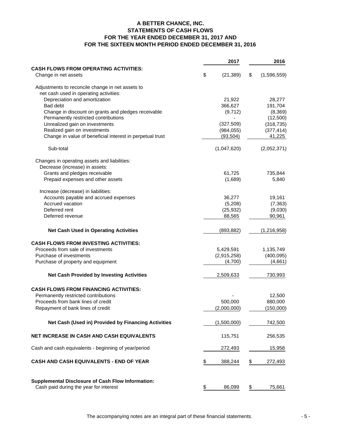# **A BETTER CHANCE, INC. STATEMENTS OF CASH FLOWS FOR THE YEAR ENDED DECEMBER 31, 2017 AND FOR THE SIXTEEN MONTH PERIOD ENDED DECEMBER 31, 2016**

|                                                                                                    | 2017            | 2016              |
|----------------------------------------------------------------------------------------------------|-----------------|-------------------|
| <b>CASH FLOWS FROM OPERATING ACTIVITIES:</b>                                                       |                 |                   |
| Change in net assets                                                                               | \$<br>(21, 389) | \$<br>(1,596,559) |
| Adjustments to reconcile change in net assets to                                                   |                 |                   |
| net cash used in operating activities:                                                             |                 |                   |
| Depreciation and amortization                                                                      | 21,922          | 28,277            |
| Bad debt                                                                                           | 366,627         | 191,704           |
| Change in discount on grants and pledges receivable                                                | (9,712)         | (8, 369)          |
| Permanently restricted contributions                                                               |                 | (12,500)          |
| Unrealized gain on investments                                                                     | (327, 509)      | (318, 735)        |
| Realized gain on investments                                                                       | (984, 055)      | (377, 414)        |
| Change in value of beneficial interest in perpetual trust                                          | (93, 504)       | 41,225            |
| Sub-total                                                                                          | (1,047,620)     | (2,052,371)       |
| Changes in operating assets and liabilities:                                                       |                 |                   |
| Decrease (increase) in assets:                                                                     |                 |                   |
| Grants and pledges receivable                                                                      | 61,725          | 735,844           |
| Prepaid expenses and other assets                                                                  | (1,689)         | 5,840             |
| Increase (decrease) in liabilities:                                                                |                 |                   |
| Accounts payable and accrued expenses                                                              | 36,277          | 19,161            |
| Accrued vacation                                                                                   | (5,208)         | (7, 363)          |
| Deferred rent                                                                                      | (25, 932)       | (9,030)           |
| Deferred revenue                                                                                   | 88,565          | 90,961            |
| <b>Net Cash Used in Operating Activities</b>                                                       | (893, 882)      | (1,216,958)       |
| <b>CASH FLOWS FROM INVESTING ACTIVITIES:</b>                                                       |                 |                   |
| Proceeds from sale of investments                                                                  | 5,429,591       | 1,135,749         |
| Purchase of investments                                                                            | (2,915,258)     | (400, 095)        |
| Purchase of property and equipment                                                                 | (4,700)         | (4,661)           |
| <b>Net Cash Provided by Investing Activities</b>                                                   | 2,509,633       | 730,993           |
| <b>CASH FLOWS FROM FINANCING ACTIVITIES:</b>                                                       |                 |                   |
| Permanently restricted contributions                                                               |                 | 12,500            |
| Proceeds from bank lines of credit                                                                 | 500,000         | 880,000           |
| Repayment of bank lines of credit                                                                  | (2,000,000)     | (150,000)         |
| Net Cash (Used in) Provided by Financing Activities                                                | (1,500,000)     | 742,500           |
| NET INCREASE IN CASH AND CASH EQUIVALENTS                                                          | 115,751         | 256,535           |
| Cash and cash equivalents - beginning of year/period                                               | 272,493         | 15,958            |
| CASH AND CASH EQUIVALENTS - END OF YEAR                                                            | \$<br>388,244   | \$<br>272,493     |
| <b>Supplemental Disclosure of Cash Flow Information:</b><br>Cash paid during the year for interest | \$<br>86,099    | \$<br>75,661      |
|                                                                                                    |                 |                   |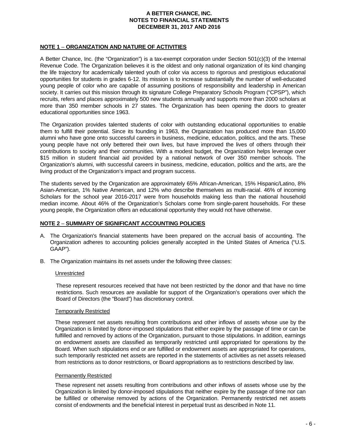### **NOTE 1** – **ORGANIZATION AND NATURE OF ACTIVITIES**

A Better Chance, Inc. (the "Organization") is a tax-exempt corporation under Section 501(c)(3) of the Internal Revenue Code. The Organization believes it is the oldest and only national organization of its kind changing the life trajectory for academically talented youth of color via access to rigorous and prestigious educational opportunities for students in grades 6-12. Its mission is to increase substantially the number of well-educated young people of color who are capable of assuming positions of responsibility and leadership in American society. It carries out this mission through its signature College Preparatory Schools Program ("CPSP"), which recruits, refers and places approximately 500 new students annually and supports more than 2000 scholars at more than 350 member schools in 27 states. The Organization has been opening the doors to greater educational opportunities since 1963.

The Organization provides talented students of color with outstanding educational opportunities to enable them to fulfill their potential. Since its founding in 1963, the Organization has produced more than 15,000 alumni who have gone onto successful careers in business, medicine, education, politics, and the arts. These young people have not only bettered their own lives, but have improved the lives of others through their contributions to society and their communities. With a modest budget, the Organization helps leverage over \$15 million in student financial aid provided by a national network of over 350 member schools. The Organization's alumni, with successful careers in business, medicine, education, politics and the arts, are the living product of the Organization's impact and program success.

The students served by the Organization are approximately 65% African-American, 15% Hispanic/Latino, 8% Asian-American, 1% Native American, and 12% who describe themselves as multi-racial. 46% of incoming Scholars for the school year 2016-2017 were from households making less than the national household median income. About 46% of the Organization's Scholars come from single-parent households. For these young people, the Organization offers an educational opportunity they would not have otherwise.

#### **NOTE 2** – **SUMMARY OF SIGNIFICANT ACCOUNTING POLICIES**

- A. The Organization's financial statements have been prepared on the accrual basis of accounting. The Organization adheres to accounting policies generally accepted in the United States of America ("U.S. GAAP").
- B. The Organization maintains its net assets under the following three classes:

#### Unrestricted

These represent resources received that have not been restricted by the donor and that have no time restrictions. Such resources are available for support of the Organization's operations over which the Board of Directors (the "Board") has discretionary control.

#### Temporarily Restricted

These represent net assets resulting from contributions and other inflows of assets whose use by the Organization is limited by donor-imposed stipulations that either expire by the passage of time or can be fulfilled and removed by actions of the Organization, pursuant to those stipulations. In addition, earnings on endowment assets are classified as temporarily restricted until appropriated for operations by the Board. When such stipulations end or are fulfilled or endowment assets are appropriated for operations, such temporarily restricted net assets are reported in the statements of activities as net assets released from restrictions as to donor restrictions, or Board appropriations as to restrictions described by law.

#### Permanently Restricted

These represent net assets resulting from contributions and other inflows of assets whose use by the Organization is limited by donor-imposed stipulations that neither expire by the passage of time nor can be fulfilled or otherwise removed by actions of the Organization. Permanently restricted net assets consist of endowments and the beneficial interest in perpetual trust as described in Note 11.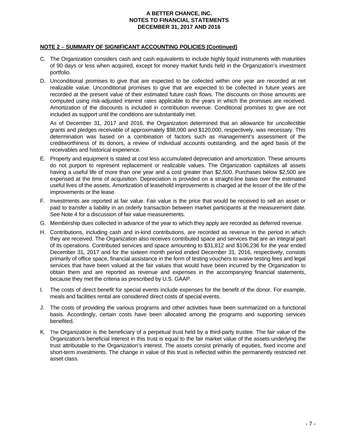### **NOTE 2** – **SUMMARY OF SIGNIFICANT ACCOUNTING POLICIES (Continued)**

- C. The Organization considers cash and cash equivalents to include highly liquid instruments with maturities of 90 days or less when acquired, except for money market funds held in the Organization's investment portfolio.
- D. Unconditional promises to give that are expected to be collected within one year are recorded at net realizable value. Unconditional promises to give that are expected to be collected in future years are recorded at the present value of their estimated future cash flows. The discounts on those amounts are computed using risk-adjusted interest rates applicable to the years in which the promises are received. Amortization of the discounts is included in contribution revenue. Conditional promises to give are not included as support until the conditions are substantially met.

As of December 31, 2017 and 2016, the Organization determined that an allowance for uncollectible grants and pledges receivable of approximately \$98,000 and \$120,000, respectively, was necessary. This determination was based on a combination of factors such as management's assessment of the creditworthiness of its donors, a review of individual accounts outstanding, and the aged basis of the receivables and historical experience.

- E. Property and equipment is stated at cost less accumulated depreciation and amortization. These amounts do not purport to represent replacement or realizable values. The Organization capitalizes all assets having a useful life of more than one year and a cost greater than \$2,500. Purchases below \$2,500 are expensed at the time of acquisition. Depreciation is provided on a straight-line basis over the estimated useful lives of the assets. Amortization of leasehold improvements is charged at the lesser of the life of the improvements or the lease.
- F. Investments are reported at fair value. Fair value is the price that would be received to sell an asset or paid to transfer a liability in an orderly transaction between market participants at the measurement date. See Note 4 for a discussion of fair value measurements.
- G. Membership dues collected in advance of the year to which they apply are recorded as deferred revenue.
- H. Contributions, including cash and in-kind contributions, are recorded as revenue in the period in which they are received. The Organization also receives contributed space and services that are an integral part of its operations. Contributed services and space amounting to \$31,812 and \$106,236 for the year ended December 31, 2017 and for the sixteen month period ended December 31, 2016, respectively, consists primarily of office space, financial assistance in the form of testing vouchers to waive testing fees and legal services that have been valued at the fair values that would have been incurred by the Organization to obtain them and are reported as revenue and expenses in the accompanying financial statements, because they met the criteria as prescribed by U.S. GAAP.
- I. The costs of direct benefit for special events include expenses for the benefit of the donor. For example, meals and facilities rental are considered direct costs of special events.
- J. The costs of providing the various programs and other activities have been summarized on a functional basis. Accordingly, certain costs have been allocated among the programs and supporting services benefited.
- K. The Organization is the beneficiary of a perpetual trust held by a third-party trustee. The fair value of the Organization's beneficial interest in this trust is equal to the fair market value of the assets underlying the trust attributable to the Organization's interest. The assets consist primarily of equities, fixed income and short-term investments. The change in value of this trust is reflected within the permanently restricted net asset class.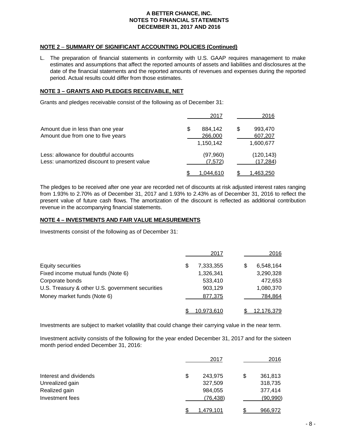# **NOTE 2** – **SUMMARY OF SIGNIFICANT ACCOUNTING POLICIES (Continued)**

L. The preparation of financial statements in conformity with U.S. GAAP requires management to make estimates and assumptions that affect the reported amounts of assets and liabilities and disclosures at the date of the financial statements and the reported amounts of revenues and expenses during the reported period. Actual results could differ from those estimates.

# **NOTE 3 – GRANTS AND PLEDGES RECEIVABLE, NET**

Grants and pledges receivable consist of the following as of December 31:

|                                                                                      | 2017                                  | 2016                                 |
|--------------------------------------------------------------------------------------|---------------------------------------|--------------------------------------|
| Amount due in less than one year<br>Amount due from one to five years                | \$<br>884,142<br>266,000<br>1,150,142 | S<br>993,470<br>607,207<br>1,600,677 |
| Less: allowance for doubtful accounts<br>Less: unamortized discount to present value | (97,960)<br>(7,572)                   | (120, 143)<br>(17, 284)              |
|                                                                                      | 1.044.610                             | ,463,250                             |

The pledges to be received after one year are recorded net of discounts at risk adjusted interest rates ranging from 1.93% to 2.70% as of December 31, 2017 and 1.93% to 2.43% as of December 31, 2016 to reflect the present value of future cash flows. The amortization of the discount is reflected as additional contribution revenue in the accompanying financial statements.

# **NOTE 4 – INVESTMENTS AND FAIR VALUE MEASUREMENTS**

Investments consist of the following as of December 31:

|                                                  | 2017       | 2016              |
|--------------------------------------------------|------------|-------------------|
| Equity securities                                | 7,333,355  | 6,548,164         |
| Fixed income mutual funds (Note 6)               | 1,326,341  | 3,290,328         |
| Corporate bonds                                  | 533,410    | 472,653           |
| U.S. Treasury & other U.S. government securities | 903,129    | 1,080,370         |
| Money market funds (Note 6)                      | 877,375    | 784,864           |
|                                                  | 10,973,610 | <u>12,176,379</u> |

Investments are subject to market volatility that could change their carrying value in the near term.

Investment activity consists of the following for the year ended December 31, 2017 and for the sixteen month period ended December 31, 2016:

|                        | 2017             | 2016          |
|------------------------|------------------|---------------|
| Interest and dividends | \$<br>243.975    | \$<br>361,813 |
| Unrealized gain        | 327,509          | 318,735       |
| Realized gain          | 984,055          | 377,414       |
| Investment fees        | (76, 438)        | (90, 990)     |
|                        | <u>1,479,101</u> | 966,972       |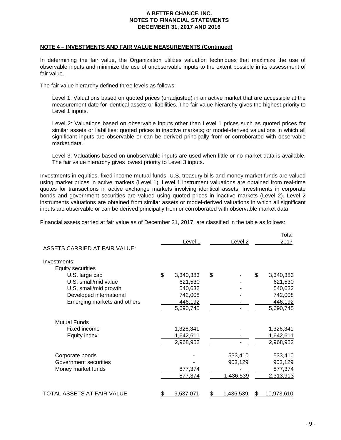#### **NOTE 4 – INVESTMENTS AND FAIR VALUE MEASUREMENTS (Continued)**

In determining the fair value, the Organization utilizes valuation techniques that maximize the use of observable inputs and minimize the use of unobservable inputs to the extent possible in its assessment of fair value.

The fair value hierarchy defined three levels as follows:

Level 1: Valuations based on quoted prices (unadjusted) in an active market that are accessible at the measurement date for identical assets or liabilities. The fair value hierarchy gives the highest priority to Level 1 inputs.

Level 2: Valuations based on observable inputs other than Level 1 prices such as quoted prices for similar assets or liabilities; quoted prices in inactive markets; or model-derived valuations in which all significant inputs are observable or can be derived principally from or corroborated with observable market data.

Level 3: Valuations based on unobservable inputs are used when little or no market data is available. The fair value hierarchy gives lowest priority to Level 3 inputs.

Investments in equities, fixed income mutual funds, U.S. treasury bills and money market funds are valued using market prices in active markets (Level 1). Level 1 instrument valuations are obtained from real-time quotes for transactions in active exchange markets involving identical assets. Investments in corporate bonds and government securities are valued using quoted prices in inactive markets (Level 2). Level 2 instruments valuations are obtained from similar assets or model-derived valuations in which all significant inputs are observable or can be derived principally from or corroborated with observable market data.

Financial assets carried at fair value as of December 31, 2017, are classified in the table as follows:

|                                      |                 |                  | Total           |
|--------------------------------------|-----------------|------------------|-----------------|
| <b>ASSETS CARRIED AT FAIR VALUE:</b> | Level 1         | Level 2          | 2017            |
|                                      |                 |                  |                 |
| Investments:                         |                 |                  |                 |
| Equity securities                    |                 |                  |                 |
| U.S. large cap                       | \$<br>3,340,383 | \$               | \$<br>3,340,383 |
| U.S. small/mid value                 | 621,530         |                  | 621,530         |
| U.S. small/mid growth                | 540,632         |                  | 540,632         |
| Developed international              | 742,008         |                  | 742,008         |
| Emerging markets and others          | 446,192         |                  | 446,192         |
|                                      | 5,690,745       |                  | 5,690,745       |
| <b>Mutual Funds</b>                  |                 |                  |                 |
| Fixed income                         | 1,326,341       |                  | 1,326,341       |
| Equity index                         | 1,642,611       |                  | 1,642,611       |
|                                      | 2,968,952       |                  | 2,968,952       |
|                                      |                 |                  |                 |
| Corporate bonds                      |                 | 533,410          | 533,410         |
| Government securities                |                 | 903,129          | 903,129         |
| Money market funds                   | 877,374         |                  | 877,374         |
|                                      | 877,374         | 1,436,539        | 2,313,913       |
|                                      |                 |                  |                 |
| TOTAL ASSETS AT FAIR VALUE           | 9,537,071       | <u>1,436,539</u> | 10,973,610      |

Total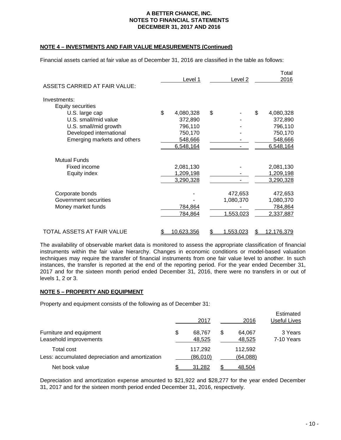### **NOTE 4 – INVESTMENTS AND FAIR VALUE MEASUREMENTS (Continued)**

Financial assets carried at fair value as of December 31, 2016 are classified in the table as follows:

|                                      |                  |                 |     | Total      |
|--------------------------------------|------------------|-----------------|-----|------------|
| <b>ASSETS CARRIED AT FAIR VALUE:</b> | Level 1          | Level 2         |     | 2016       |
| Investments:                         |                  |                 |     |            |
| Equity securities                    |                  |                 |     |            |
| U.S. large cap                       | \$<br>4,080,328  | \$              | \$  | 4,080,328  |
| U.S. small/mid value                 | 372,890          |                 |     | 372,890    |
| U.S. small/mid growth                | 796,110          |                 |     | 796,110    |
| Developed international              | 750,170          |                 |     | 750,170    |
| Emerging markets and others          | 548,666          |                 |     | 548,666    |
|                                      | 6,548,164        |                 |     | 6,548,164  |
| <b>Mutual Funds</b>                  |                  |                 |     |            |
| Fixed income                         | 2,081,130        |                 |     | 2,081,130  |
| Equity index                         | 1,209,198        |                 |     | 1,209,198  |
|                                      | 3,290,328        |                 |     | 3,290,328  |
| Corporate bonds                      |                  | 472,653         |     | 472,653    |
| Government securities                |                  | 1,080,370       |     | 1,080,370  |
| Money market funds                   | 784,864          |                 |     | 784,864    |
|                                      | 784,864          | 1,553,023       |     | 2,337,887  |
|                                      |                  |                 |     |            |
| TOTAL ASSETS AT FAIR VALUE           | \$<br>10,623,356 | \$<br>1,553,023 | \$. | 12,176,379 |

The availability of observable market data is monitored to assess the appropriate classification of financial instruments within the fair value hierarchy. Changes in economic conditions or model-based valuation techniques may require the transfer of financial instruments from one fair value level to another. In such instances, the transfer is reported at the end of the reporting period. For the year ended December 31, 2017 and for the sixteen month period ended December 31, 2016, there were no transfers in or out of levels 1, 2 or 3.

#### **NOTE 5 – PROPERTY AND EQUIPMENT**

Property and equipment consists of the following as of December 31:

|                                                               | 2017                   |   | 2016                | Estimated<br><b>Useful Lives</b> |
|---------------------------------------------------------------|------------------------|---|---------------------|----------------------------------|
| Furniture and equipment<br>Leasehold improvements             | \$<br>68,767<br>48,525 | S | 64.067<br>48,525    | 3 Years<br>7-10 Years            |
| Total cost<br>Less: accumulated depreciation and amortization | 117,292<br>(86,010)    |   | 112,592<br>(64,088) |                                  |
| Net book value                                                | 31,282                 |   | 48.504              |                                  |

Depreciation and amortization expense amounted to \$21,922 and \$28,277 for the year ended December 31, 2017 and for the sixteen month period ended December 31, 2016, respectively.

Total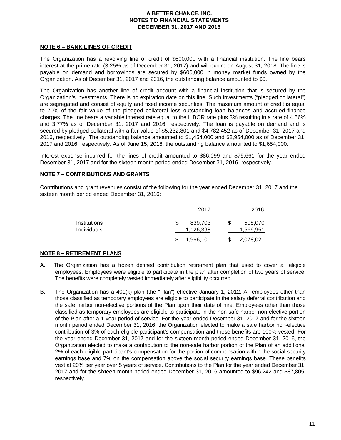### **NOTE 6 – BANK LINES OF CREDIT**

The Organization has a revolving line of credit of \$600,000 with a financial institution. The line bears interest at the prime rate (3.25% as of December 31, 2017) and will expire on August 31, 2018. The line is payable on demand and borrowings are secured by \$600,000 in money market funds owned by the Organization. As of December 31, 2017 and 2016, the outstanding balance amounted to \$0.

The Organization has another line of credit account with a financial institution that is secured by the Organization's investments. There is no expiration date on this line. Such investments ("pledged collateral") are segregated and consist of equity and fixed income securities. The maximum amount of credit is equal to 70% of the fair value of the pledged collateral less outstanding loan balances and accrued finance charges. The line bears a variable interest rate equal to the LIBOR rate plus 3% resulting in a rate of 4.56% and 3.77% as of December 31, 2017 and 2016, respectively. The loan is payable on demand and is secured by pledged collateral with a fair value of \$5,232,801 and \$4,782,452 as of December 31, 2017 and 2016, respectively. The outstanding balance amounted to \$1,454,000 and \$2,954,000 as of December 31, 2017 and 2016, respectively. As of June 15, 2018, the outstanding balance amounted to \$1,654,000.

Interest expense incurred for the lines of credit amounted to \$86,099 and \$75,661 for the year ended December 31, 2017 and for the sixteen month period ended December 31, 2016, respectively.

### **NOTE 7 – CONTRIBUTIONS AND GRANTS**

Contributions and grant revenues consist of the following for the year ended December 31, 2017 and the sixteen month period ended December 31, 2016:

| 2016                 |   | 2017                       |                                           |  |
|----------------------|---|----------------------------|-------------------------------------------|--|
| 508,070<br>1,569,951 | S | 839,703<br>\$<br>1,126,398 | <b>Institutions</b><br><b>Individuals</b> |  |
| 2,078,021            |   | 1.966.101                  |                                           |  |

# **NOTE 8 – RETIREMENT PLANS**

- A. The Organization has a frozen defined contribution retirement plan that used to cover all eligible employees. Employees were eligible to participate in the plan after completion of two years of service. The benefits were completely vested immediately after eligibility occurred.
- B. The Organization has a 401(k) plan (the "Plan") effective January 1, 2012. All employees other than those classified as temporary employees are eligible to participate in the salary deferral contribution and the safe harbor non-elective portions of the Plan upon their date of hire. Employees other than those classified as temporary employees are eligible to participate in the non-safe harbor non-elective portion of the Plan after a 1-year period of service. For the year ended December 31, 2017 and for the sixteen month period ended December 31, 2016, the Organization elected to make a safe harbor non-elective contribution of 3% of each eligible participant's compensation and these benefits are 100% vested. For the year ended December 31, 2017 and for the sixteen month period ended December 31, 2016, the Organization elected to make a contribution to the non-safe harbor portion of the Plan of an additional 2% of each eligible participant's compensation for the portion of compensation within the social security earnings base and 7% on the compensation above the social security earnings base. These benefits vest at 20% per year over 5 years of service. Contributions to the Plan for the year ended December 31, 2017 and for the sixteen month period ended December 31, 2016 amounted to \$96,242 and \$87,805, respectively.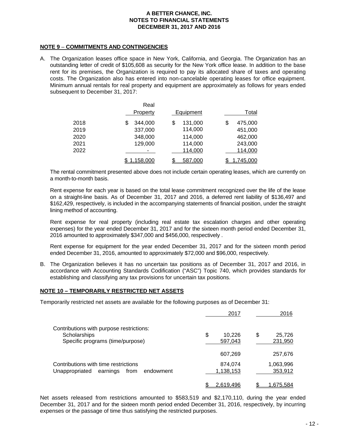### **NOTE 9** – **COMMITMENTS AND CONTINGENCIES**

A. The Organization leases office space in New York, California, and Georgia. The Organization has an outstanding letter of credit of \$105,608 as security for the New York office lease. In addition to the base rent for its premises, the Organization is required to pay its allocated share of taxes and operating costs. The Organization also has entered into non-cancelable operating leases for office equipment. Minimum annual rentals for real property and equipment are approximately as follows for years ended subsequent to December 31, 2017:

|      | Real            |                  |                |
|------|-----------------|------------------|----------------|
|      | <b>Property</b> | <b>Equipment</b> | Total          |
| 2018 | 344,000<br>S    | 131,000<br>\$    | \$<br>475,000  |
| 2019 | 337,000         | 114,000          | 451,000        |
| 2020 | 348,000         | 114,000          | 462,000        |
| 2021 | 129,000         | 114,000          | 243,000        |
| 2022 |                 | 114,000          | 114,000        |
|      | 1,158,000       | \$<br>587,000    | <u>745,000</u> |

The rental commitment presented above does not include certain operating leases, which are currently on a month-to-month basis.

Rent expense for each year is based on the total lease commitment recognized over the life of the lease on a straight-line basis. As of December 31, 2017 and 2016, a deferred rent liability of \$136,497 and \$162,429, respectively, is included in the accompanying statements of financial position, under the straight lining method of accounting.

Rent expense for real property (including real estate tax escalation charges and other operating expenses) for the year ended December 31, 2017 and for the sixteen month period ended December 31, 2016 amounted to approximately \$347,000 and \$456,000, respectively .

Rent expense for equipment for the year ended December 31, 2017 and for the sixteen month period ended December 31, 2016, amounted to approximately \$72,000 and \$96,000, respectively.

B. The Organization believes it has no uncertain tax positions as of December 31, 2017 and 2016, in accordance with Accounting Standards Codification ("ASC") Topic 740, which provides standards for establishing and classifying any tax provisions for uncertain tax positions.

# **NOTE 10 – TEMPORARILY RESTRICTED NET ASSETS**

Temporarily restricted net assets are available for the following purposes as of December 31:

|                                                                                              | 2017                    | 2016                    |
|----------------------------------------------------------------------------------------------|-------------------------|-------------------------|
| Contributions with purpose restrictions:<br>Scholarships<br>Specific programs (time/purpose) | \$<br>10,226<br>597,043 | \$<br>25,726<br>231,950 |
|                                                                                              | 607,269                 | 257,676                 |
| Contributions with time restrictions<br>Unappropriated<br>endowment<br>earnings<br>from      | 874,074<br>1,138,153    | 1,063,996<br>353,912    |
|                                                                                              | 2,619,496               | 1,675,584               |

Net assets released from restrictions amounted to \$583,519 and \$2,170,110, during the year ended December 31, 2017 and for the sixteen month period ended December 31, 2016, respectively, by incurring expenses or the passage of time thus satisfying the restricted purposes.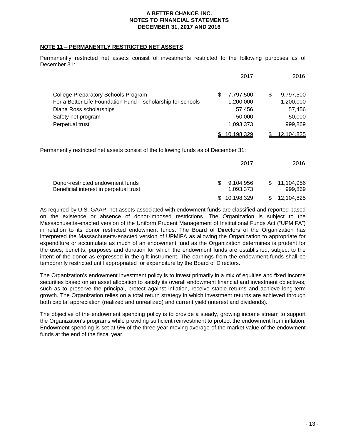### **NOTE 11** – **PERMANENTLY RESTRICTED NET ASSETS**

Permanently restricted net assets consist of investments restricted to the following purposes as of December 31:

|                                                             |   | 2017       |   | 2016              |  |
|-------------------------------------------------------------|---|------------|---|-------------------|--|
| <b>College Preparatory Schools Program</b>                  | S | 7,797,500  | S | 9,797,500         |  |
| For a Better Life Foundation Fund - scholarship for schools |   | 1,200,000  |   | 1,200,000         |  |
| Diana Ross scholarships                                     |   | 57.456     |   | 57,456            |  |
| Safety net program                                          |   | 50,000     |   | 50,000            |  |
| Perpetual trust                                             |   | 1,093,373  |   | 999,869           |  |
|                                                             |   | 10.198.329 |   | <u>12,104,825</u> |  |

Permanently restricted net assets consist of the following funds as of December 31:

|                                                                            | 2017                   | 2016                        |
|----------------------------------------------------------------------------|------------------------|-----------------------------|
| Donor-restricted endowment funds<br>Beneficial interest in perpetual trust | 9,104,956<br>1,093,373 | 11,104,956<br>S.<br>999,869 |
|                                                                            | <u>10,198,329</u>      | <u>12,104,825</u>           |

As required by U.S. GAAP, net assets associated with endowment funds are classified and reported based on the existence or absence of donor-imposed restrictions. The Organization is subject to the Massachusetts-enacted version of the Uniform Prudent Management of Institutional Funds Act ("UPMIFA") in relation to its donor restricted endowment funds. The Board of Directors of the Organization has interpreted the Massachusetts-enacted version of UPMIFA as allowing the Organization to appropriate for expenditure or accumulate as much of an endowment fund as the Organization determines is prudent for the uses, benefits, purposes and duration for which the endowment funds are established, subject to the intent of the donor as expressed in the gift instrument. The earnings from the endowment funds shall be temporarily restricted until appropriated for expenditure by the Board of Directors.

The Organization's endowment investment policy is to invest primarily in a mix of equities and fixed income securities based on an asset allocation to satisfy its overall endowment financial and investment objectives, such as to preserve the principal, protect against inflation, receive stable returns and achieve long-term growth. The Organization relies on a total return strategy in which investment returns are achieved through both capital appreciation (realized and unrealized) and current yield (interest and dividends).

The objective of the endowment spending policy is to provide a steady, growing income stream to support the Organization's programs while providing sufficient reinvestment to protect the endowment from inflation. Endowment spending is set at 5% of the three-year moving average of the market value of the endowment funds at the end of the fiscal year.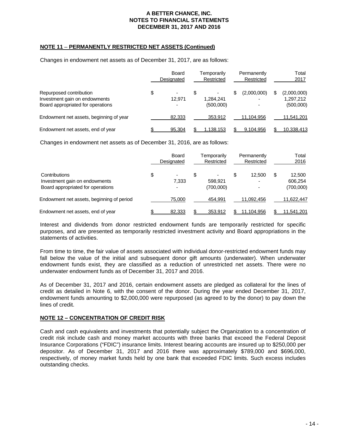# **NOTE 11** – **PERMANENTLY RESTRICTED NET ASSETS (Continued)**

Changes in endowment net assets as of December 31, 2017, are as follows:

|                                                                                               | <b>Board</b><br>Designated | Temporarily<br>Restricted                                |   | Permanently<br>Restricted               | Total<br>2017                         |
|-----------------------------------------------------------------------------------------------|----------------------------|----------------------------------------------------------|---|-----------------------------------------|---------------------------------------|
| Repurposed contribution<br>Investment gain on endowments<br>Board appropriated for operations | \$<br>٠<br>12.971<br>٠     | \$<br>$\overline{\phantom{0}}$<br>1.284.241<br>(500,000) | S | (2,000,000)<br>$\overline{\phantom{0}}$ | (2,000,000)<br>1,297,212<br>(500,000) |
| Endowment net assets, beginning of year                                                       | 82,333                     | 353.912                                                  |   | 11.104.956                              | 11.541.201                            |
| Endowment net assets, end of year                                                             | 95.304                     | .138.153                                                 |   | 9.104.956                               | 10.338.413                            |

Changes in endowment net assets as of December 31, 2016, are as follows:

|                                                                                     | <b>Board</b><br>Designated | Temporarily<br>Restricted  | Permanently<br>Restricted |   | Total<br>2016                  |
|-------------------------------------------------------------------------------------|----------------------------|----------------------------|---------------------------|---|--------------------------------|
| Contributions<br>Investment gain on endowments<br>Board appropriated for operations | \$<br>٠<br>7,333<br>٠      | \$<br>598.921<br>(700,000) | \$<br>12.500              | S | 12,500<br>606,254<br>(700,000) |
| Endowment net assets, beginning of period                                           | 75,000                     | 454.991                    | 11.092.456                |   | 11.622.447                     |
| Endowment net assets, end of year                                                   | 82,333                     | 353,912                    | 11,104,956                |   | 11,541,201                     |

Interest and dividends from donor restricted endowment funds are temporarily restricted for specific purposes, and are presented as temporarily restricted investment activity and Board appropriations in the statements of activities.

From time to time, the fair value of assets associated with individual donor-restricted endowment funds may fall below the value of the initial and subsequent donor gift amounts (underwater). When underwater endowment funds exist, they are classified as a reduction of unrestricted net assets. There were no underwater endowment funds as of December 31, 2017 and 2016.

As of December 31, 2017 and 2016, certain endowment assets are pledged as collateral for the lines of credit as detailed in Note 6, with the consent of the donor. During the year ended December 31, 2017, endowment funds amounting to \$2,000,000 were repurposed (as agreed to by the donor) to pay down the lines of credit.

# **NOTE 12 – CONCENTRATION OF CREDIT RISK**

Cash and cash equivalents and investments that potentially subject the Organization to a concentration of credit risk include cash and money market accounts with three banks that exceed the Federal Deposit Insurance Corporations ("FDIC") insurance limits. Interest bearing accounts are insured up to \$250,000 per depositor. As of December 31, 2017 and 2016 there was approximately \$789,000 and \$696,000, respectively, of money market funds held by one bank that exceeded FDIC limits. Such excess includes outstanding checks.